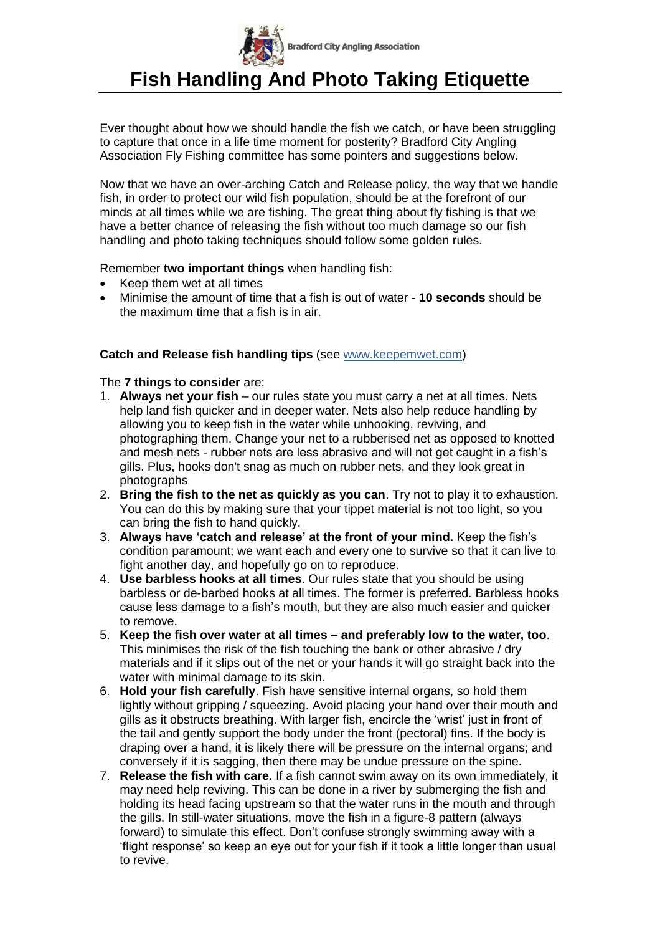

Ever thought about how we should handle the fish we catch, or have been struggling to capture that once in a life time moment for posterity? Bradford City Angling Association Fly Fishing committee has some pointers and suggestions below.

Now that we have an over-arching Catch and Release policy, the way that we handle fish, in order to protect our wild fish population, should be at the forefront of our minds at all times while we are fishing. The great thing about fly fishing is that we have a better chance of releasing the fish without too much damage so our fish handling and photo taking techniques should follow some golden rules.

Remember **two important things** when handling fish:

- Keep them wet at all times
- Minimise the amount of time that a fish is out of water **10 seconds** should be the maximum time that a fish is in air.

## **Catch and Release fish handling tips** (see [www.keepemwet.com\)](http://www.keepemwet.com/)

The **7 things to consider** are:

- 1. **Always net your fish** our rules state you must carry a net at all times. Nets help land fish quicker and in deeper water. Nets also help reduce handling by allowing you to keep fish in the water while unhooking, reviving, and photographing them. Change your net to a rubberised net as opposed to knotted and mesh nets - rubber nets are less abrasive and will not get caught in a fish's gills. Plus, hooks don't snag as much on rubber nets, and they look great in photographs
- 2. **Bring the fish to the net as quickly as you can**. Try not to play it to exhaustion. You can do this by making sure that your tippet material is not too light, so you can bring the fish to hand quickly.
- 3. **Always have 'catch and release' at the front of your mind.** Keep the fish's condition paramount; we want each and every one to survive so that it can live to fight another day, and hopefully go on to reproduce.
- 4. **Use barbless hooks at all times**. Our rules state that you should be using barbless or de-barbed hooks at all times. The former is preferred. Barbless hooks cause less damage to a fish's mouth, but they are also much easier and quicker to remove.
- 5. **Keep the fish over water at all times – and preferably low to the water, too**. This minimises the risk of the fish touching the bank or other abrasive / dry materials and if it slips out of the net or your hands it will go straight back into the water with minimal damage to its skin.
- 6. **Hold your fish carefully**. Fish have sensitive internal organs, so hold them lightly without gripping / squeezing. Avoid placing your hand over their mouth and gills as it obstructs breathing. With larger fish, encircle the 'wrist' just in front of the tail and gently support the body under the front (pectoral) fins. If the body is draping over a hand, it is likely there will be pressure on the internal organs; and conversely if it is sagging, then there may be undue pressure on the spine.
- 7. **Release the fish with care.** If a fish cannot swim away on its own immediately, it may need help reviving. This can be done in a river by submerging the fish and holding its head facing upstream so that the water runs in the mouth and through the gills. In still-water situations, move the fish in a figure-8 pattern (always forward) to simulate this effect. Don't confuse strongly swimming away with a 'flight response' so keep an eye out for your fish if it took a little longer than usual to revive.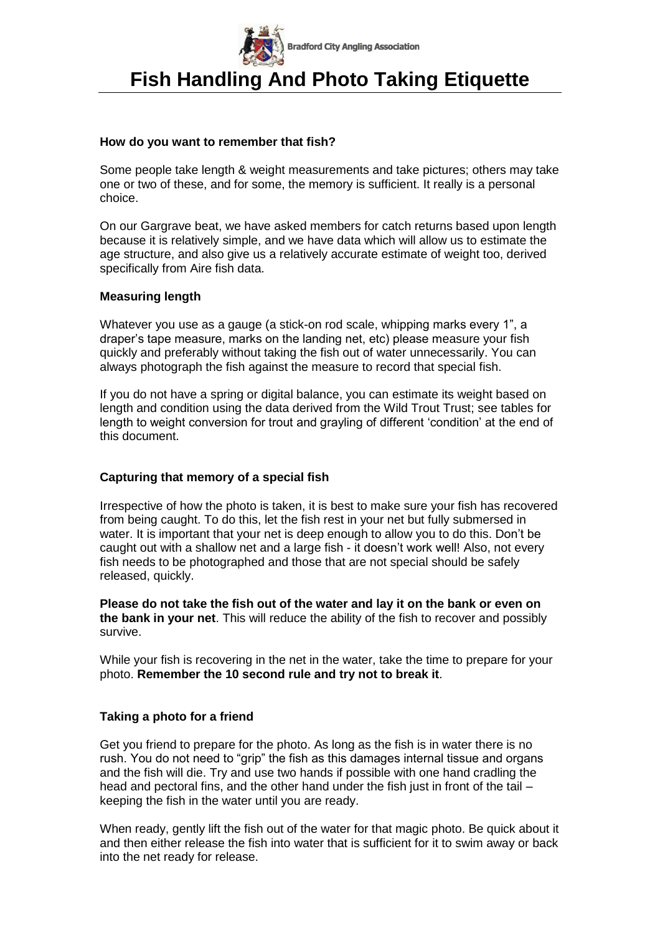

#### **How do you want to remember that fish?**

Some people take length & weight measurements and take pictures; others may take one or two of these, and for some, the memory is sufficient. It really is a personal choice.

On our Gargrave beat, we have asked members for catch returns based upon length because it is relatively simple, and we have data which will allow us to estimate the age structure, and also give us a relatively accurate estimate of weight too, derived specifically from Aire fish data.

#### **Measuring length**

Whatever you use as a gauge (a stick-on rod scale, whipping marks every 1", a draper's tape measure, marks on the landing net, etc) please measure your fish quickly and preferably without taking the fish out of water unnecessarily. You can always photograph the fish against the measure to record that special fish.

If you do not have a spring or digital balance, you can estimate its weight based on length and condition using the data derived from the Wild Trout Trust; see tables for length to weight conversion for trout and grayling of different 'condition' at the end of this document.

## **Capturing that memory of a special fish**

Irrespective of how the photo is taken, it is best to make sure your fish has recovered from being caught. To do this, let the fish rest in your net but fully submersed in water. It is important that your net is deep enough to allow you to do this. Don't be caught out with a shallow net and a large fish - it doesn't work well! Also, not every fish needs to be photographed and those that are not special should be safely released, quickly.

**Please do not take the fish out of the water and lay it on the bank or even on the bank in your net**. This will reduce the ability of the fish to recover and possibly survive.

While your fish is recovering in the net in the water, take the time to prepare for your photo. **Remember the 10 second rule and try not to break it**.

## **Taking a photo for a friend**

Get you friend to prepare for the photo. As long as the fish is in water there is no rush. You do not need to "grip" the fish as this damages internal tissue and organs and the fish will die. Try and use two hands if possible with one hand cradling the head and pectoral fins, and the other hand under the fish just in front of the tail – keeping the fish in the water until you are ready.

When ready, gently lift the fish out of the water for that magic photo. Be quick about it and then either release the fish into water that is sufficient for it to swim away or back into the net ready for release.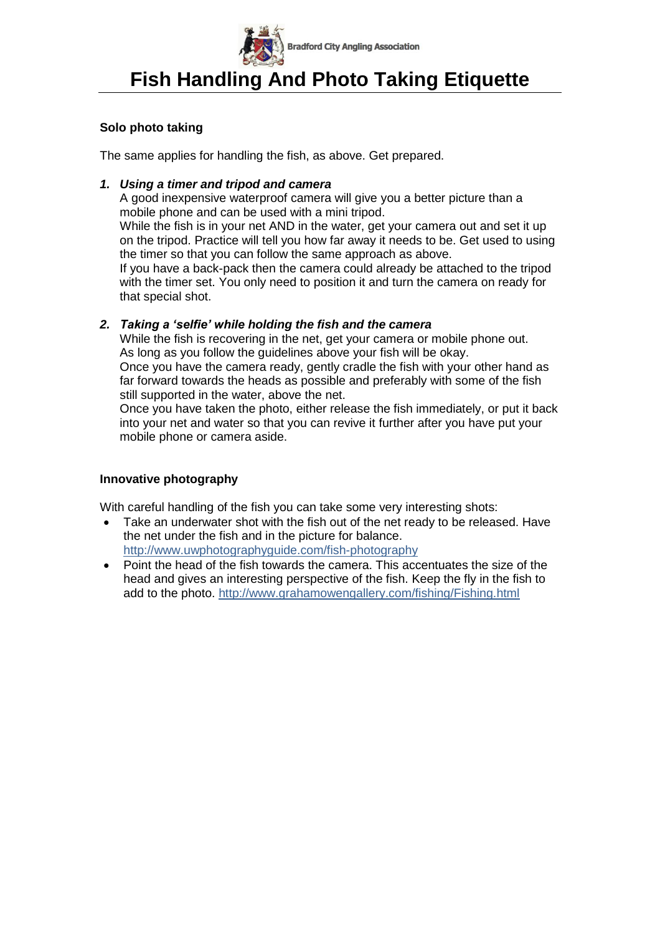

## **Solo photo taking**

The same applies for handling the fish, as above. Get prepared.

### *1. Using a timer and tripod and camera*

A good inexpensive waterproof camera will give you a better picture than a mobile phone and can be used with a mini tripod.

While the fish is in your net AND in the water, get your camera out and set it up on the tripod. Practice will tell you how far away it needs to be. Get used to using the timer so that you can follow the same approach as above.

If you have a back-pack then the camera could already be attached to the tripod with the timer set. You only need to position it and turn the camera on ready for that special shot.

## *2. Taking a 'selfie' while holding the fish and the camera*

While the fish is recovering in the net, get your camera or mobile phone out. As long as you follow the guidelines above your fish will be okay. Once you have the camera ready, gently cradle the fish with your other hand as far forward towards the heads as possible and preferably with some of the fish still supported in the water, above the net.

Once you have taken the photo, either release the fish immediately, or put it back into your net and water so that you can revive it further after you have put your mobile phone or camera aside.

## **Innovative photography**

With careful handling of the fish you can take some very interesting shots:

- Take an underwater shot with the fish out of the net ready to be released. Have the net under the fish and in the picture for balance. <http://www.uwphotographyguide.com/fish-photography>
- Point the head of the fish towards the camera. This accentuates the size of the head and gives an interesting perspective of the fish. Keep the fly in the fish to add to the photo.<http://www.grahamowengallery.com/fishing/Fishing.html>